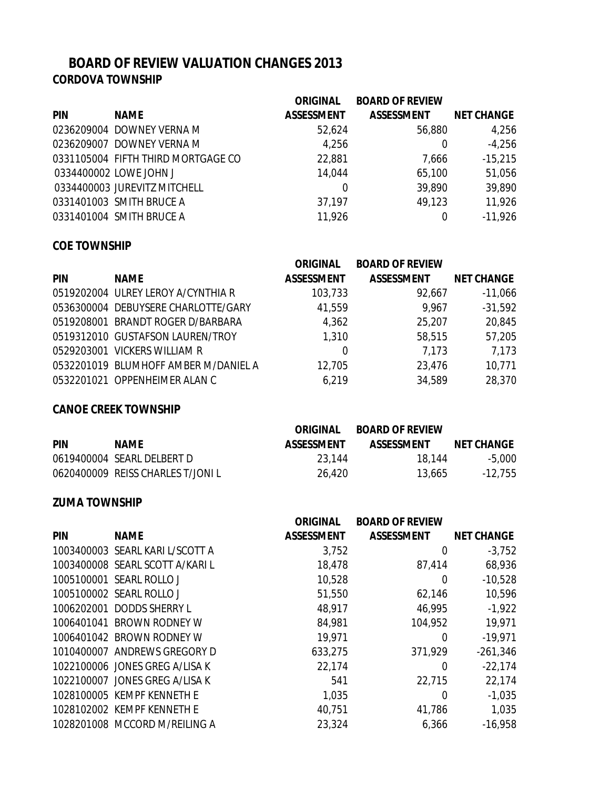# **BOARD OF REVIEW VALUATION CHANGES 2013 CORDOVA TOWNSHIP**

|             | <b>ORIGINAL</b>                                                                                                                                                                                                | <b>BOARD OF REVIEW</b> |                   |
|-------------|----------------------------------------------------------------------------------------------------------------------------------------------------------------------------------------------------------------|------------------------|-------------------|
| <b>NAME</b> | <b>ASSESSMENT</b>                                                                                                                                                                                              | <b>ASSESSMENT</b>      | <b>NET CHANGE</b> |
|             | 52,624                                                                                                                                                                                                         | 56,880                 | 4,256             |
|             | 4,256                                                                                                                                                                                                          | 0                      | $-4,256$          |
|             | 22,881                                                                                                                                                                                                         | 7,666                  | $-15,215$         |
|             | 14,044                                                                                                                                                                                                         | 65,100                 | 51,056            |
|             | 0                                                                                                                                                                                                              | 39,890                 | 39,890            |
|             | 37,197                                                                                                                                                                                                         | 49,123                 | 11,926            |
|             | 11,926                                                                                                                                                                                                         |                        | $-11,926$         |
|             | 0236209004 DOWNEY VERNA M<br>0236209007 DOWNEY VERNA M<br>0331105004 FIFTH THIRD MORTGAGE CO<br>0334400002 LOWE JOHN J<br>0334400003 JUREVITZ MITCHELL<br>0331401003 SMITH BRUCE A<br>0331401004 SMITH BRUCE A |                        |                   |

## **COE TOWNSHIP**

|            |                                      | <b>ORIGINAL</b>   | <b>BOARD OF REVIEW</b> |                   |
|------------|--------------------------------------|-------------------|------------------------|-------------------|
| <b>PIN</b> | <b>NAME</b>                          | <b>ASSESSMENT</b> | <b>ASSESSMENT</b>      | <b>NET CHANGE</b> |
|            | 0519202004 ULREY LEROY A/CYNTHIA R   | 103,733           | 92,667                 | $-11,066$         |
|            | 0536300004 DEBUYSERE CHARLOTTE/GARY  | 41,559            | 9,967                  | $-31,592$         |
|            | 0519208001 BRANDT ROGER D/BARBARA    | 4,362             | 25,207                 | 20,845            |
|            | 0519312010 GUSTAFSON LAUREN/TROY     | 1,310             | 58,515                 | 57,205            |
|            | 0529203001 VICKERS WILLIAM R         | 0                 | 7,173                  | 7,173             |
|            | 0532201019 BLUMHOFF AMBER M/DANIEL A | 12,705            | 23,476                 | 10,771            |
|            | 0532201021 OPPENHEIMER ALAN C        | 6,219             | 34,589                 | 28,370            |

#### **CANOE CREEK TOWNSHIP**

|            |                                  | ORIGINAL          | <b>BOARD OF REVIEW</b> |                   |
|------------|----------------------------------|-------------------|------------------------|-------------------|
| <b>PIN</b> | <b>NAME</b>                      | <b>ASSESSMENT</b> | <b>ASSESSMENT</b>      | <b>NET CHANGE</b> |
|            | 0619400004 SEARL DELBERT D       | 23.144            | 18.144                 | $-5.000$          |
|            | 0620400009 REISS CHARLES T/JONIL | 26.420            | 13,665                 | $-12,755$         |

### **ZUMA TOWNSHIP**

|            |                                 | <b>ORIGINAL</b>   | <b>BOARD OF REVIEW</b> |                   |
|------------|---------------------------------|-------------------|------------------------|-------------------|
| <b>PIN</b> | <b>NAME</b>                     | <b>ASSESSMENT</b> | <b>ASSESSMENT</b>      | <b>NET CHANGE</b> |
|            | 1003400003 SEARL KARI L/SCOTT A | 3,752             | 0                      | $-3,752$          |
|            | 1003400008 SEARL SCOTT A/KARI L | 18,478            | 87,414                 | 68,936            |
|            | 1005100001 SEARL ROLLO J        | 10,528            | 0                      | $-10,528$         |
|            | 1005100002 SEARL ROLLO J        | 51,550            | 62,146                 | 10,596            |
|            | 1006202001 DODDS SHERRY L       | 48,917            | 46,995                 | $-1,922$          |
|            | 1006401041 BROWN RODNEY W       | 84,981            | 104,952                | 19,971            |
|            | 1006401042 BROWN RODNEY W       | 19,971            | 0                      | $-19,971$         |
|            | 1010400007 ANDREWS GREGORY D    | 633,275           | 371,929                | $-261,346$        |
|            | 1022100006 JONES GREG A/LISA K  | 22,174            | 0                      | $-22,174$         |
|            | 1022100007 JONES GREG A/LISA K  | 541               | 22,715                 | 22,174            |
|            | 1028100005 KEMPF KENNETH E      | 1,035             | 0                      | $-1,035$          |
|            | 1028102002 KEMPF KENNETH E      | 40,751            | 41,786                 | 1,035             |
|            | 1028201008 MCCORD M/REILING A   | 23,324            | 6,366                  | $-16,958$         |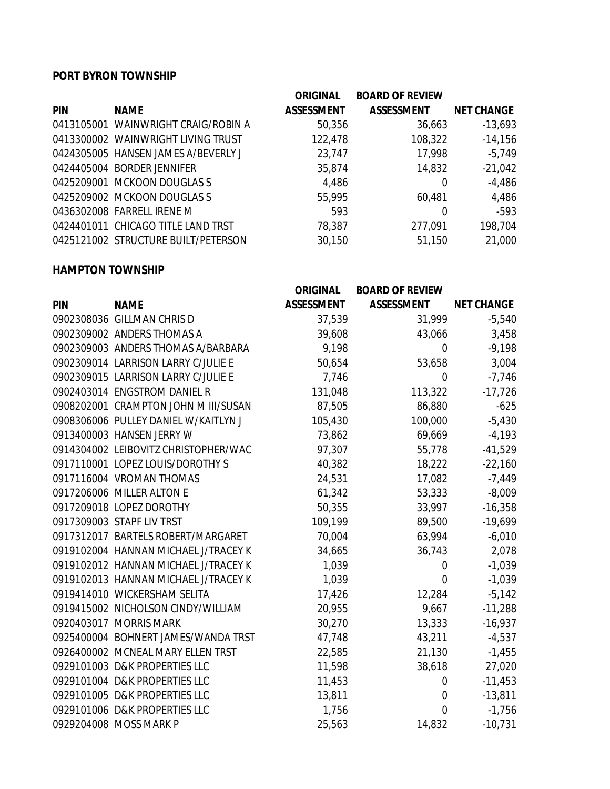## **PORT BYRON TOWNSHIP**

|            |                                     | <b>ORIGINAL</b>   | <b>BOARD OF REVIEW</b> |                   |
|------------|-------------------------------------|-------------------|------------------------|-------------------|
| <b>PIN</b> | <b>NAME</b>                         | <b>ASSESSMENT</b> | <b>ASSESSMENT</b>      | <b>NET CHANGE</b> |
|            | 0413105001 WAINWRIGHT CRAIG/ROBIN A | 50,356            | 36,663                 | $-13,693$         |
|            | 0413300002 WAINWRIGHT LIVING TRUST  | 122,478           | 108,322                | $-14,156$         |
|            | 0424305005 HANSEN JAMES A/BEVERLY J | 23,747            | 17,998                 | $-5,749$          |
|            | 0424405004 BORDER JENNIFER          | 35,874            | 14,832                 | $-21,042$         |
|            | 0425209001 MCKOON DOUGLASS          | 4,486             | $\Omega$               | $-4,486$          |
|            | 0425209002 MCKOON DOUGLASS          | 55,995            | 60,481                 | 4,486             |
|            | 0436302008 FARRELL IRENE M          | 593               | 0                      | $-593$            |
|            | 0424401011 CHICAGO TITLE LAND TRST  | 78,387            | 277,091                | 198,704           |
|            | 0425121002 STRUCTURE BUILT/PETERSON | 30,150            | 51,150                 | 21,000            |

#### **HAMPTON TOWNSHIP**

|            |                                      | <b>ORIGINAL</b>   | <b>BOARD OF REVIEW</b> |                   |
|------------|--------------------------------------|-------------------|------------------------|-------------------|
| <b>PIN</b> | <b>NAME</b>                          | <b>ASSESSMENT</b> | <b>ASSESSMENT</b>      | <b>NET CHANGE</b> |
|            | 0902308036 GILLMAN CHRIS D           | 37,539            | 31,999                 | $-5,540$          |
|            | 0902309002 ANDERS THOMAS A           | 39,608            | 43,066                 | 3,458             |
|            | 0902309003 ANDERS THOMAS A/BARBARA   | 9,198             | $\overline{0}$         | $-9,198$          |
|            | 0902309014 LARRISON LARRY C/JULIE E  | 50,654            | 53,658                 | 3,004             |
|            | 0902309015 LARRISON LARRY C/JULIE E  | 7,746             | $\overline{0}$         | $-7,746$          |
|            | 0902403014 ENGSTROM DANIEL R         | 131,048           | 113,322                | $-17,726$         |
|            | 0908202001 CRAMPTON JOHN M III/SUSAN | 87,505            | 86,880                 | $-625$            |
|            | 0908306006 PULLEY DANIEL W/KAITLYN J | 105,430           | 100,000                | $-5,430$          |
|            | 0913400003 HANSEN JERRY W            | 73,862            | 69,669                 | $-4,193$          |
|            | 0914304002 LEIBOVITZ CHRISTOPHER/WAC | 97,307            | 55,778                 | $-41,529$         |
|            | 0917110001 LOPEZ LOUIS/DOROTHY S     | 40,382            | 18,222                 | $-22,160$         |
|            | 0917116004 VROMAN THOMAS             | 24,531            | 17,082                 | $-7,449$          |
|            | 0917206006 MILLER ALTON E            | 61,342            | 53,333                 | $-8,009$          |
|            | 0917209018 LOPEZ DOROTHY             | 50,355            | 33,997                 | $-16,358$         |
|            | 0917309003 STAPF LIV TRST            | 109,199           | 89,500                 | $-19,699$         |
|            | 0917312017 BARTELS ROBERT/MARGARET   | 70,004            | 63,994                 | $-6,010$          |
|            | 0919102004 HANNAN MICHAEL J/TRACEY K | 34,665            | 36,743                 | 2,078             |
|            | 0919102012 HANNAN MICHAEL J/TRACEY K | 1,039             | $\overline{0}$         | $-1,039$          |
|            | 0919102013 HANNAN MICHAEL J/TRACEY K | 1,039             | $\overline{0}$         | $-1,039$          |
|            | 0919414010 WICKERSHAM SELITA         | 17,426            | 12,284                 | $-5,142$          |
|            | 0919415002 NICHOLSON CINDY/WILLIAM   | 20,955            | 9,667                  | $-11,288$         |
|            | 0920403017 MORRIS MARK               | 30,270            | 13,333                 | $-16,937$         |
|            | 0925400004 BOHNERT JAMES/WANDA TRST  | 47,748            | 43,211                 | $-4,537$          |
|            | 0926400002 MCNEAL MARY ELLEN TRST    | 22,585            | 21,130                 | $-1,455$          |
|            | 0929101003 D&K PROPERTIES LLC        | 11,598            | 38,618                 | 27,020            |
|            | 0929101004 D&K PROPERTIES LLC        | 11,453            | $\overline{0}$         | $-11,453$         |
|            | 0929101005 D&K PROPERTIES LLC        | 13,811            | $\mathbf 0$            | $-13,811$         |
|            | 0929101006 D&K PROPERTIES LLC        | 1,756             | $\mathbf 0$            | $-1,756$          |
|            | 0929204008 MOSS MARK P               | 25,563            | 14,832                 | $-10,731$         |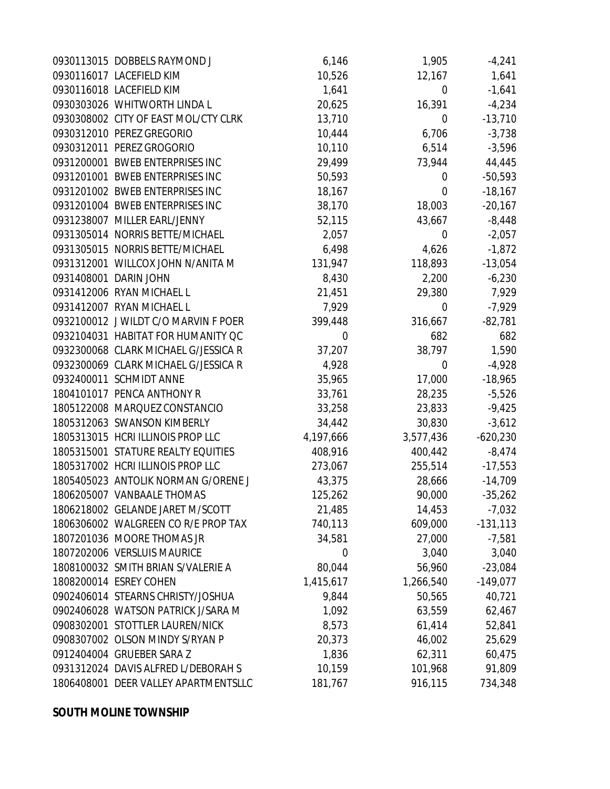| 0930113015 DOBBELS RAYMOND J         | 6,146     | 1,905          | $-4,241$   |
|--------------------------------------|-----------|----------------|------------|
| 0930116017 LACEFIELD KIM             | 10,526    | 12,167         | 1,641      |
| 0930116018 LACEFIELD KIM             | 1,641     | $\overline{0}$ | $-1,641$   |
| 0930303026 WHITWORTH LINDA L         | 20,625    | 16,391         | $-4,234$   |
| 0930308002 CITY OF EAST MOL/CTY CLRK | 13,710    | $\overline{0}$ | $-13,710$  |
| 0930312010 PEREZ GREGORIO            | 10,444    | 6,706          | $-3,738$   |
| 0930312011 PEREZ GROGORIO            | 10,110    | 6,514          | $-3,596$   |
| 0931200001 BWEB ENTERPRISES INC      | 29,499    | 73,944         | 44,445     |
| 0931201001 BWEB ENTERPRISES INC      | 50,593    | 0              | $-50,593$  |
| 0931201002 BWEB ENTERPRISES INC      | 18,167    | $\overline{0}$ | $-18,167$  |
| 0931201004 BWEB ENTERPRISES INC      | 38,170    | 18,003         | $-20,167$  |
| 0931238007 MILLER EARL/JENNY         | 52,115    | 43,667         | $-8,448$   |
| 0931305014 NORRIS BETTE/MICHAEL      | 2,057     | $\overline{0}$ | $-2,057$   |
| 0931305015 NORRIS BETTE/MICHAEL      | 6,498     | 4,626          | $-1,872$   |
| 0931312001 WILLCOX JOHN N/ANITA M    | 131,947   | 118,893        | $-13,054$  |
| 0931408001 DARIN JOHN                | 8,430     | 2,200          | $-6,230$   |
| 0931412006 RYAN MICHAEL L            | 21,451    | 29,380         | 7,929      |
| 0931412007 RYAN MICHAEL L            | 7,929     | $\overline{0}$ | $-7,929$   |
| 0932100012 J WILDT C/O MARVIN F POER | 399,448   | 316,667        | $-82,781$  |
| 0932104031 HABITAT FOR HUMANITY OC   | 0         | 682            | 682        |
| 0932300068 CLARK MICHAEL G/JESSICA R | 37,207    | 38,797         | 1,590      |
| 0932300069 CLARK MICHAEL G/JESSICA R | 4,928     | 0              | $-4,928$   |
| 0932400011 SCHMIDT ANNE              | 35,965    | 17,000         | $-18,965$  |
| 1804101017 PENCA ANTHONY R           | 33,761    | 28,235         | $-5,526$   |
| 1805122008 MARQUEZ CONSTANCIO        | 33,258    | 23,833         | $-9,425$   |
| 1805312063 SWANSON KIMBERLY          | 34,442    | 30,830         | $-3,612$   |
| 1805313015 HCRI ILLINOIS PROP LLC    | 4,197,666 | 3,577,436      | $-620,230$ |
| 1805315001 STATURE REALTY EQUITIES   | 408,916   | 400,442        | $-8,474$   |
| 1805317002 HCRI ILLINOIS PROP LLC    | 273,067   | 255,514        | $-17,553$  |
| 1805405023 ANTOLIK NORMAN G/ORENE J  | 43,375    | 28,666         | $-14,709$  |
| 1806205007 VANBAALE THOMAS           | 125,262   | 90,000         | $-35,262$  |
| 1806218002 GELANDE JARET M/SCOTT     | 21,485    | 14,453         | $-7,032$   |
| 1806306002 WALGREEN CO R/E PROP TAX  | 740,113   | 609,000        | $-131,113$ |
| 1807201036 MOORE THOMAS JR           | 34,581    | 27,000         | $-7,581$   |
| 1807202006 VERSLUIS MAURICE          | 0         | 3,040          | 3,040      |
| 1808100032 SMITH BRIAN S/VALERIE A   | 80,044    | 56,960         | $-23,084$  |
| 1808200014 ESREY COHEN               | 1,415,617 | 1,266,540      | $-149,077$ |
| 0902406014 STEARNS CHRISTY/JOSHUA    | 9,844     | 50,565         | 40,721     |
| 0902406028 WATSON PATRICK J/SARA M   | 1,092     | 63,559         | 62,467     |
| 0908302001 STOTTLER LAUREN/NICK      | 8,573     | 61,414         | 52,841     |
| 0908307002 OLSON MINDY S/RYAN P      | 20,373    | 46,002         | 25,629     |
| 0912404004 GRUEBER SARA Z            | 1,836     | 62,311         | 60,475     |
| 0931312024 DAVIS ALFRED L/DEBORAH S  | 10,159    | 101,968        | 91,809     |
| 1806408001 DEER VALLEY APARTMENTSLLC | 181,767   | 916,115        | 734,348    |
|                                      |           |                |            |

### **SOUTH MOLINE TOWNSHIP**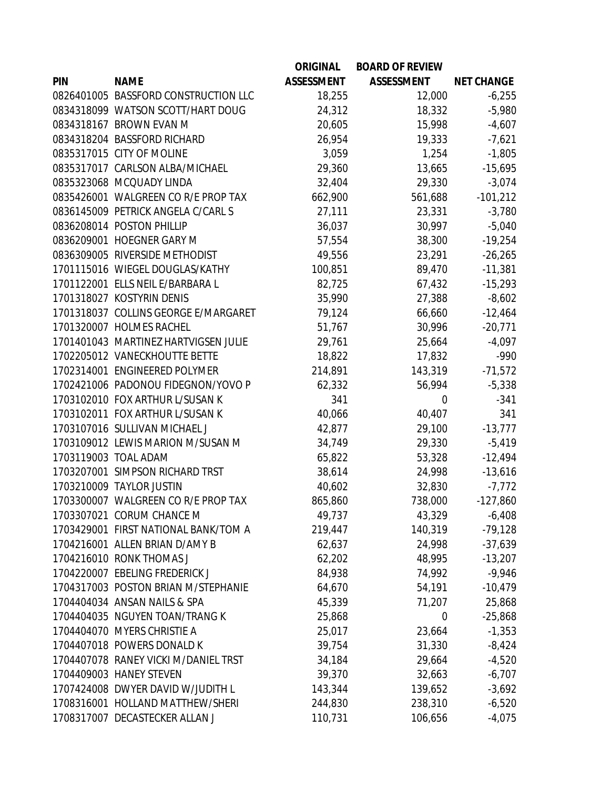|            |                                      | <b>ORIGINAL</b>   | <b>BOARD OF REVIEW</b> |                   |
|------------|--------------------------------------|-------------------|------------------------|-------------------|
| <b>PIN</b> | <b>NAME</b>                          | <b>ASSESSMENT</b> | <b>ASSESSMENT</b>      | <b>NET CHANGE</b> |
|            | 0826401005 BASSFORD CONSTRUCTION LLC | 18,255            | 12,000                 | $-6,255$          |
|            | 0834318099 WATSON SCOTT/HART DOUG    | 24,312            | 18,332                 | $-5,980$          |
|            | 0834318167 BROWN EVAN M              | 20,605            | 15,998                 | $-4,607$          |
|            | 0834318204 BASSFORD RICHARD          | 26,954            | 19,333                 | $-7,621$          |
|            | 0835317015 CITY OF MOLINE            | 3,059             | 1,254                  | $-1,805$          |
|            | 0835317017 CARLSON ALBA/MICHAEL      | 29,360            | 13,665                 | $-15,695$         |
|            | 0835323068 MCQUADY LINDA             | 32,404            | 29,330                 | $-3,074$          |
|            | 0835426001 WALGREEN CO R/E PROP TAX  | 662,900           | 561,688                | $-101,212$        |
|            | 0836145009 PETRICK ANGELA C/CARL S   | 27,111            | 23,331                 | $-3,780$          |
|            | 0836208014 POSTON PHILLIP            | 36,037            | 30,997                 | $-5,040$          |
|            | 0836209001 HOEGNER GARY M            | 57,554            | 38,300                 | $-19,254$         |
|            | 0836309005 RIVERSIDE METHODIST       | 49,556            | 23,291                 | $-26,265$         |
|            | 1701115016 WIEGEL DOUGLAS/KATHY      | 100,851           | 89,470                 | $-11,381$         |
|            | 1701122001 ELLS NEIL E/BARBARA L     | 82,725            | 67,432                 | $-15,293$         |
|            | 1701318027 KOSTYRIN DENIS            | 35,990            | 27,388                 | $-8,602$          |
|            | 1701318037 COLLINS GEORGE E/MARGARET | 79,124            | 66,660                 | $-12,464$         |
|            | 1701320007 HOLMES RACHEL             | 51,767            | 30,996                 | $-20,771$         |
|            | 1701401043 MARTINEZ HARTVIGSEN JULIE | 29,761            | 25,664                 | $-4,097$          |
|            | 1702205012 VANECKHOUTTE BETTE        | 18,822            | 17,832                 | $-990$            |
|            | 1702314001 ENGINEERED POLYMER        | 214,891           | 143,319                | $-71,572$         |
|            | 1702421006 PADONOU FIDEGNON/YOVO P   | 62,332            | 56,994                 | $-5,338$          |
|            | 1703102010 FOX ARTHUR L/SUSAN K      | 341               | 0                      | $-341$            |
|            | 1703102011 FOX ARTHUR L/SUSAN K      | 40,066            | 40,407                 | 341               |
|            | 1703107016 SULLIVAN MICHAEL J        | 42,877            | 29,100                 | $-13,777$         |
|            | 1703109012 LEWIS MARION M/SUSAN M    | 34,749            | 29,330                 | $-5,419$          |
|            | 1703119003 TOAL ADAM                 | 65,822            | 53,328                 | $-12,494$         |
|            | 1703207001 SIMPSON RICHARD TRST      | 38,614            | 24,998                 | $-13,616$         |
|            | 1703210009 TAYLOR JUSTIN             | 40,602            | 32,830                 | $-7,772$          |
|            | 1703300007 WALGREEN CO R/E PROP TAX  | 865,860           | 738,000                | $-127,860$        |
|            | 1703307021 CORUM CHANCE M            | 49,737            | 43,329                 | $-6,408$          |
|            | 1703429001 FIRST NATIONAL BANK/TOM A | 219,447           | 140,319                | $-79,128$         |
|            | 1704216001 ALLEN BRIAN D/AMY B       | 62,637            | 24,998                 | $-37,639$         |
|            | 1704216010 RONK THOMAS J             | 62,202            | 48,995                 | $-13,207$         |
|            | 1704220007 EBELING FREDERICK J       | 84,938            | 74,992                 | $-9,946$          |
|            | 1704317003 POSTON BRIAN M/STEPHANIE  | 64,670            | 54,191                 | $-10,479$         |
|            | 1704404034 ANSAN NAILS & SPA         | 45,339            | 71,207                 | 25,868            |
|            | 1704404035 NGUYEN TOAN/TRANG K       | 25,868            | 0                      | $-25,868$         |
|            | 1704404070 MYERS CHRISTIE A          | 25,017            | 23,664                 | $-1,353$          |
|            | 1704407018 POWERS DONALD K           | 39,754            | 31,330                 | $-8,424$          |
|            | 1704407078 RANEY VICKI M/DANIEL TRST | 34,184            | 29,664                 | $-4,520$          |
|            | 1704409003 HANEY STEVEN              | 39,370            | 32,663                 | $-6,707$          |
|            | 1707424008 DWYER DAVID W/JUDITH L    | 143,344           | 139,652                | $-3,692$          |
|            | 1708316001 HOLLAND MATTHEW/SHERI     | 244,830           | 238,310                | $-6,520$          |
|            | 1708317007 DECASTECKER ALLAN J       | 110,731           | 106,656                | $-4,075$          |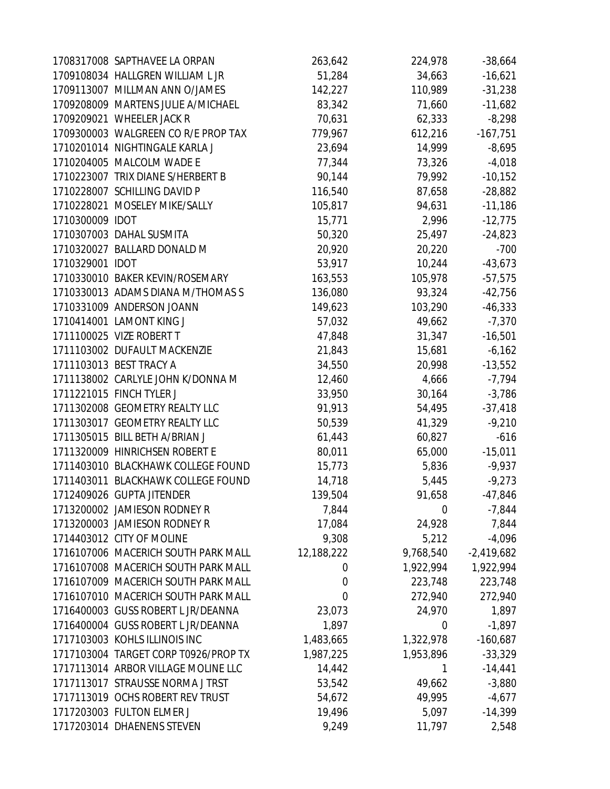|                 | 1708317008 SAPTHAVEE LA ORPAN        | 263,642     | 224,978   | $-38,664$    |
|-----------------|--------------------------------------|-------------|-----------|--------------|
|                 | 1709108034 HALLGREN WILLIAM L JR     | 51,284      | 34,663    | $-16,621$    |
|                 | 1709113007 MILLMAN ANN O/JAMES       | 142,227     | 110,989   | $-31,238$    |
|                 | 1709208009 MARTENS JULIE A/MICHAEL   | 83,342      | 71,660    | $-11,682$    |
|                 | 1709209021 WHEELER JACK R            | 70,631      | 62,333    | $-8,298$     |
|                 | 1709300003 WALGREEN CO R/E PROP TAX  | 779,967     | 612,216   | $-167,751$   |
|                 | 1710201014 NIGHTINGALE KARLA J       | 23,694      | 14,999    | $-8,695$     |
|                 | 1710204005 MALCOLM WADE E            | 77,344      | 73,326    | $-4,018$     |
|                 | 1710223007 TRIX DIANE S/HERBERT B    | 90,144      | 79,992    | $-10,152$    |
|                 | 1710228007 SCHILLING DAVID P         | 116,540     | 87,658    | $-28,882$    |
|                 | 1710228021 MOSELEY MIKE/SALLY        | 105,817     | 94,631    | $-11,186$    |
| 1710300009 IDOT |                                      | 15,771      | 2,996     | $-12,775$    |
|                 | 1710307003 DAHAL SUSMITA             | 50,320      | 25,497    | $-24,823$    |
|                 | 1710320027 BALLARD DONALD M          | 20,920      | 20,220    | $-700$       |
| 1710329001 IDOT |                                      | 53,917      | 10,244    | $-43,673$    |
|                 | 1710330010 BAKER KEVIN/ROSEMARY      | 163,553     | 105,978   | $-57,575$    |
|                 | 1710330013 ADAMS DIANA M/THOMAS S    | 136,080     | 93,324    | $-42,756$    |
|                 | 1710331009 ANDERSON JOANN            | 149,623     | 103,290   | $-46,333$    |
|                 | 1710414001 LAMONT KING J             | 57,032      | 49,662    | $-7,370$     |
|                 | 1711100025 VIZE ROBERT T             | 47,848      | 31,347    | $-16,501$    |
|                 | 1711103002 DUFAULT MACKENZIE         | 21,843      | 15,681    | $-6,162$     |
|                 | 1711103013 BEST TRACY A              | 34,550      | 20,998    | $-13,552$    |
|                 | 1711138002 CARLYLE JOHN K/DONNA M    | 12,460      | 4,666     | $-7,794$     |
|                 | 1711221015 FINCH TYLER J             | 33,950      | 30,164    | $-3,786$     |
|                 | 1711302008 GEOMETRY REALTY LLC       | 91,913      | 54,495    | $-37,418$    |
|                 | 1711303017 GEOMETRY REALTY LLC       | 50,539      | 41,329    | $-9,210$     |
|                 | 1711305015 BILL BETH A/BRIAN J       | 61,443      | 60,827    | $-616$       |
|                 | 1711320009 HINRICHSEN ROBERT E       | 80,011      | 65,000    | $-15,011$    |
|                 | 1711403010 BLACKHAWK COLLEGE FOUND   | 15,773      | 5,836     | $-9,937$     |
|                 | 1711403011 BLACKHAWK COLLEGE FOUND   | 14,718      | 5,445     | $-9,273$     |
|                 | 1712409026 GUPTA JITENDER            | 139,504     | 91,658    | $-47,846$    |
|                 | 1713200002 JAMIESON RODNEY R         | 7,844       | 0         | $-7,844$     |
|                 | 1713200003 JAMIESON RODNEY R         | 17,084      | 24,928    | 7,844        |
|                 | 1714403012 CITY OF MOLINE            | 9,308       | 5,212     | $-4,096$     |
|                 | 1716107006 MACERICH SOUTH PARK MALL  | 12,188,222  | 9,768,540 | $-2,419,682$ |
|                 | 1716107008 MACERICH SOUTH PARK MALL  | 0           | 1,922,994 | 1,922,994    |
|                 | 1716107009 MACERICH SOUTH PARK MALL  | 0           | 223,748   | 223,748      |
|                 | 1716107010 MACERICH SOUTH PARK MALL  | $\mathbf 0$ | 272,940   | 272,940      |
|                 | 1716400003 GUSS ROBERT L JR/DEANNA   | 23,073      | 24,970    | 1,897        |
|                 | 1716400004 GUSS ROBERT L JR/DEANNA   | 1,897       | 0         | $-1,897$     |
|                 | 1717103003 KOHLS ILLINOIS INC        | 1,483,665   | 1,322,978 | $-160,687$   |
|                 | 1717103004 TARGET CORP T0926/PROP TX | 1,987,225   | 1,953,896 | $-33,329$    |
|                 | 1717113014 ARBOR VILLAGE MOLINE LLC  | 14,442      | 1         | $-14,441$    |
|                 | 1717113017 STRAUSSE NORMA J TRST     | 53,542      | 49,662    | $-3,880$     |
|                 | 1717113019 OCHS ROBERT REV TRUST     | 54,672      | 49,995    | $-4,677$     |
|                 | 1717203003 FULTON ELMER J            | 19,496      | 5,097     | $-14,399$    |
|                 | 1717203014 DHAENENS STEVEN           | 9,249       | 11,797    | 2,548        |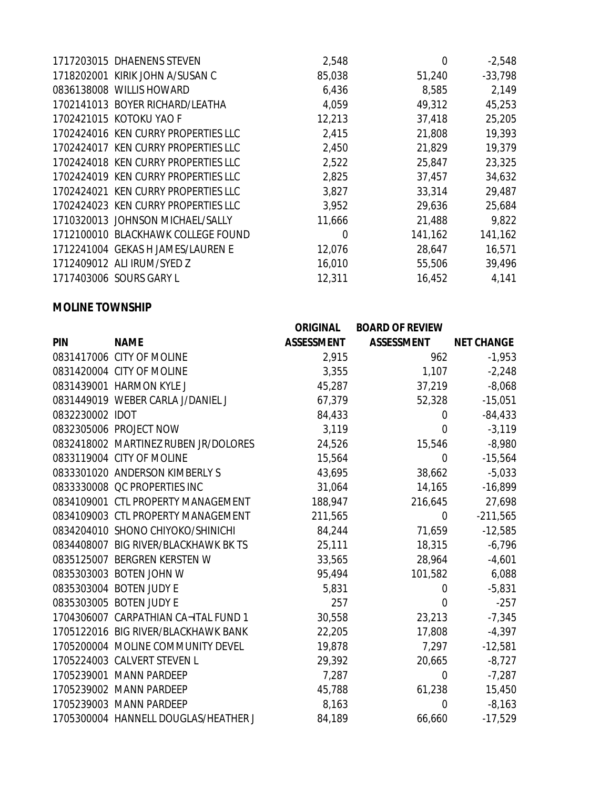| 1717203015 DHAENENS STEVEN          | 2,548  | 0       | $-2,548$  |
|-------------------------------------|--------|---------|-----------|
| 1718202001 KIRIK JOHN A/SUSAN C     | 85,038 | 51,240  | $-33,798$ |
| 0836138008 WILLIS HOWARD            | 6,436  | 8,585   | 2,149     |
| 1702141013 BOYER RICHARD/LEATHA     | 4,059  | 49,312  | 45,253    |
| 1702421015 KOTOKU YAO F             | 12,213 | 37,418  | 25,205    |
| 1702424016 KEN CURRY PROPERTIES LLC | 2,415  | 21,808  | 19,393    |
| 1702424017 KEN CURRY PROPERTIES LLC | 2,450  | 21,829  | 19,379    |
| 1702424018 KEN CURRY PROPERTIES LLC | 2,522  | 25,847  | 23,325    |
| 1702424019 KEN CURRY PROPERTIES LLC | 2,825  | 37,457  | 34,632    |
| 1702424021 KEN CURRY PROPERTIES LLC | 3,827  | 33,314  | 29,487    |
| 1702424023 KEN CURRY PROPERTIES LLC | 3,952  | 29,636  | 25,684    |
| 1710320013 JOHNSON MICHAEL/SALLY    | 11,666 | 21,488  | 9,822     |
| 1712100010 BLACKHAWK COLLEGE FOUND  | 0      | 141,162 | 141,162   |
| 1712241004 GEKAS H JAMES/LAUREN E   | 12,076 | 28,647  | 16,571    |
| 1712409012 ALI IRUM/SYED Z          | 16,010 | 55,506  | 39,496    |
| 1717403006 SOURS GARY L             | 12,311 | 16,452  | 4,141     |
|                                     |        |         |           |

### **MOLINE TOWNSHIP**

|                 |                                      | <b>ORIGINAL</b>   | <b>BOARD OF REVIEW</b> |                   |
|-----------------|--------------------------------------|-------------------|------------------------|-------------------|
| <b>PIN</b>      | <b>NAME</b>                          | <b>ASSESSMENT</b> | <b>ASSESSMENT</b>      | <b>NET CHANGE</b> |
|                 | 0831417006 CITY OF MOLINE            | 2,915             | 962                    | $-1,953$          |
|                 | 0831420004 CITY OF MOLINE            | 3,355             | 1,107                  | $-2,248$          |
|                 | 0831439001 HARMON KYLE J             | 45,287            | 37,219                 | $-8,068$          |
|                 | 0831449019 WEBER CARLA J/DANIEL J    | 67,379            | 52,328                 | $-15,051$         |
| 0832230002 IDOT |                                      | 84,433            | $\overline{0}$         | $-84, 433$        |
|                 | 0832305006 PROJECT NOW               | 3,119             | $\overline{0}$         | $-3,119$          |
|                 | 0832418002 MARTINEZ RUBEN JR/DOLORES | 24,526            | 15,546                 | $-8,980$          |
|                 | 0833119004 CITY OF MOLINE            | 15,564            | $\overline{0}$         | $-15,564$         |
|                 | 0833301020 ANDERSON KIMBERLY S       | 43,695            | 38,662                 | $-5,033$          |
|                 | 0833330008 QC PROPERTIES INC         | 31,064            | 14,165                 | $-16,899$         |
|                 | 0834109001 CTL PROPERTY MANAGEMENT   | 188,947           | 216,645                | 27,698            |
|                 | 0834109003 CTL PROPERTY MANAGEMENT   | 211,565           | $\mathbf 0$            | $-211,565$        |
|                 | 0834204010 SHONO CHIYOKO/SHINICHI    | 84,244            | 71,659                 | $-12,585$         |
|                 | 0834408007 BIG RIVER/BLACKHAWK BK TS | 25,111            | 18,315                 | $-6,796$          |
|                 | 0835125007 BERGREN KERSTEN W         | 33,565            | 28,964                 | $-4,601$          |
|                 | 0835303003 BOTEN JOHN W              | 95,494            | 101,582                | 6,088             |
|                 | 0835303004 BOTEN JUDY E              | 5,831             | 0                      | $-5,831$          |
|                 | 0835303005 BOTEN JUDY E              | 257               | 0                      | $-257$            |
|                 | 1704306007 CARPATHIAN CA-ITAL FUND 1 | 30,558            | 23,213                 | $-7,345$          |
|                 | 1705122016 BIG RIVER/BLACKHAWK BANK  | 22,205            | 17,808                 | $-4,397$          |
|                 | 1705200004 MOLINE COMMUNITY DEVEL    | 19,878            | 7,297                  | $-12,581$         |
|                 | 1705224003 CALVERT STEVEN L          | 29,392            | 20,665                 | $-8,727$          |
|                 | 1705239001 MANN PARDEEP              | 7,287             | 0                      | $-7,287$          |
|                 | 1705239002 MANN PARDEEP              | 45,788            | 61,238                 | 15,450            |
|                 | 1705239003 MANN PARDEEP              | 8,163             | $\overline{0}$         | $-8,163$          |
|                 | 1705300004 HANNELL DOUGLAS/HEATHER J | 84,189            | 66,660                 | $-17,529$         |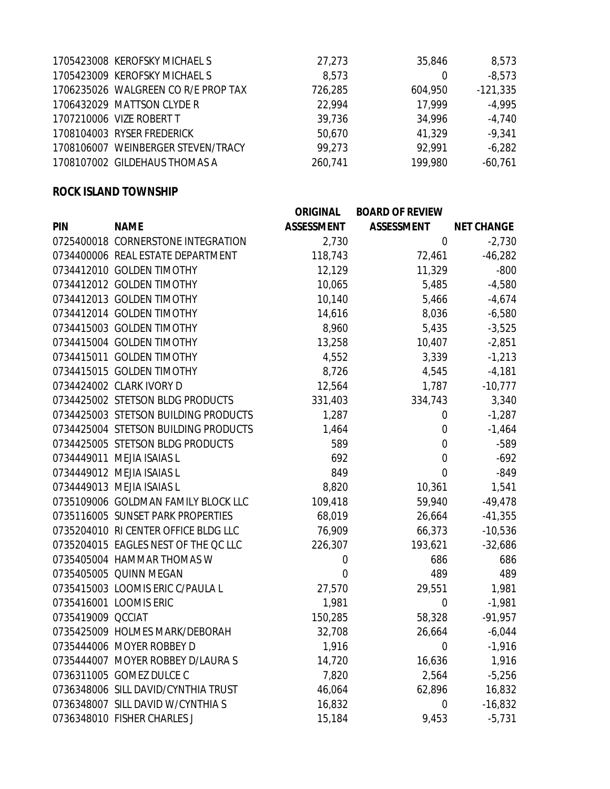| 1705423008 KEROFSKY MICHAEL S       | 27,273  | 35,846  | 8,573      |
|-------------------------------------|---------|---------|------------|
| 1705423009 KEROFSKY MICHAEL S       | 8,573   |         | $-8,573$   |
| 1706235026 WALGREEN CO R/E PROP TAX | 726,285 | 604,950 | $-121,335$ |
| 1706432029 MATTSON CLYDE R          | 22.994  | 17.999  | $-4,995$   |
| 1707210006 VIZE ROBERT T            | 39,736  | 34,996  | $-4,740$   |
| 1708104003 RYSER FREDERICK          | 50,670  | 41,329  | $-9,341$   |
| 1708106007 WEINBERGER STEVEN/TRACY  | 99,273  | 92.991  | $-6,282$   |
| 1708107002 GILDEHAUS THOMAS A       | 260,741 | 199,980 | $-60,761$  |
|                                     |         |         |            |

### **ROCK ISLAND TOWNSHIP**

|                   |                                      | <b>ORIGINAL</b>   | <b>BOARD OF REVIEW</b> |                   |
|-------------------|--------------------------------------|-------------------|------------------------|-------------------|
| <b>PIN</b>        | <b>NAME</b>                          | <b>ASSESSMENT</b> | <b>ASSESSMENT</b>      | <b>NET CHANGE</b> |
|                   | 0725400018 CORNERSTONE INTEGRATION   | 2,730             | $\mathbf 0$            | $-2,730$          |
|                   | 0734400006 REAL ESTATE DEPARTMENT    | 118,743           | 72,461                 | $-46,282$         |
|                   | 0734412010 GOLDEN TIMOTHY            | 12,129            | 11,329                 | $-800$            |
|                   | 0734412012 GOLDEN TIMOTHY            | 10,065            | 5,485                  | $-4,580$          |
|                   | 0734412013 GOLDEN TIMOTHY            | 10,140            | 5,466                  | $-4,674$          |
|                   | 0734412014 GOLDEN TIMOTHY            | 14,616            | 8,036                  | $-6,580$          |
|                   | 0734415003 GOLDEN TIMOTHY            | 8,960             | 5,435                  | $-3,525$          |
|                   | 0734415004 GOLDEN TIMOTHY            | 13,258            | 10,407                 | $-2,851$          |
|                   | 0734415011 GOLDEN TIMOTHY            | 4,552             | 3,339                  | $-1,213$          |
|                   | 0734415015 GOLDEN TIMOTHY            | 8,726             | 4,545                  | $-4,181$          |
|                   | 0734424002 CLARK IVORY D             | 12,564            | 1,787                  | $-10,777$         |
|                   | 0734425002 STETSON BLDG PRODUCTS     | 331,403           | 334,743                | 3,340             |
|                   | 0734425003 STETSON BUILDING PRODUCTS | 1,287             | $\boldsymbol{0}$       | $-1,287$          |
|                   | 0734425004 STETSON BUILDING PRODUCTS | 1,464             | $\mathbf 0$            | $-1,464$          |
|                   | 0734425005 STETSON BLDG PRODUCTS     | 589               | $\mathbf 0$            | $-589$            |
|                   | 0734449011 MEJIA ISAIAS L            | 692               | $\mathbf 0$            | $-692$            |
|                   | 0734449012 MEJIA ISAIAS L            | 849               | $\mathbf 0$            | $-849$            |
|                   | 0734449013 MEJIA ISAIAS L            | 8,820             | 10,361                 | 1,541             |
|                   | 0735109006 GOLDMAN FAMILY BLOCK LLC  | 109,418           | 59,940                 | $-49,478$         |
|                   | 0735116005 SUNSET PARK PROPERTIES    | 68,019            | 26,664                 | $-41,355$         |
|                   | 0735204010 RI CENTER OFFICE BLDG LLC | 76,909            | 66,373                 | $-10,536$         |
|                   | 0735204015 EAGLES NEST OF THE QC LLC | 226,307           | 193,621                | $-32,686$         |
|                   | 0735405004 HAMMAR THOMAS W           | $\boldsymbol{0}$  | 686                    | 686               |
|                   | 0735405005 QUINN MEGAN               | $\mathbf 0$       | 489                    | 489               |
|                   | 0735415003 LOOMIS ERIC C/PAULA L     | 27,570            | 29,551                 | 1,981             |
|                   | 0735416001 LOOMIS ERIC               | 1,981             | $\mathbf 0$            | $-1,981$          |
| 0735419009 QCCIAT |                                      | 150,285           | 58,328                 | $-91,957$         |
|                   | 0735425009 HOLMES MARK/DEBORAH       | 32,708            | 26,664                 | $-6,044$          |
|                   | 0735444006 MOYER ROBBEY D            | 1,916             | $\boldsymbol{0}$       | $-1,916$          |
|                   | 0735444007 MOYER ROBBEY D/LAURA S    | 14,720            | 16,636                 | 1,916             |
|                   | 0736311005 GOMEZ DULCE C             | 7,820             | 2,564                  | $-5,256$          |
|                   | 0736348006 SILL DAVID/CYNTHIA TRUST  | 46,064            | 62,896                 | 16,832            |
|                   | 0736348007 SILL DAVID W/CYNTHIA S    | 16,832            | $\mathbf 0$            | $-16,832$         |
|                   | 0736348010 FISHER CHARLES J          | 15,184            | 9,453                  | $-5,731$          |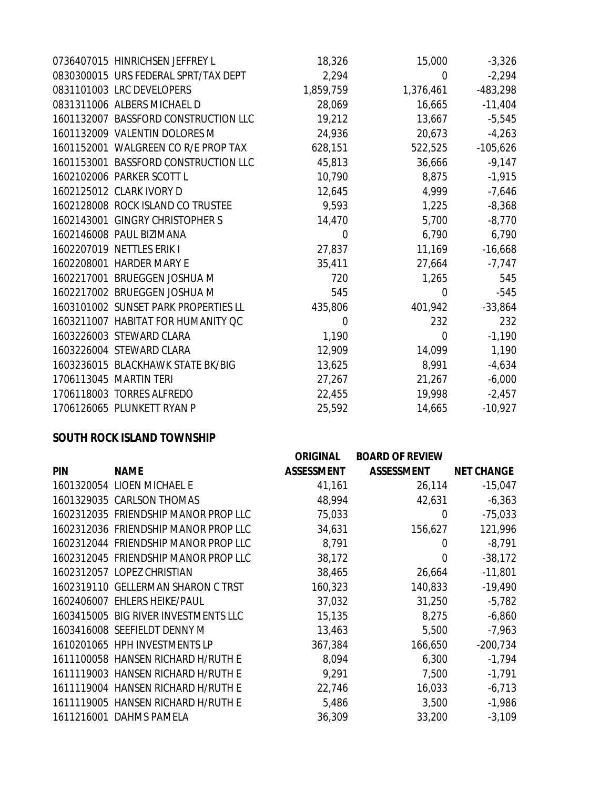| 0736407015 HINRICHSEN JEFFREY L      | 18,326    | 15,000    | $-3,326$   |
|--------------------------------------|-----------|-----------|------------|
| 0830300015 URS FEDERAL SPRT/TAX DEPT | 2,294     | 0         | $-2,294$   |
| 0831101003 LRC DEVELOPERS            | 1,859,759 | 1,376,461 | $-483,298$ |
| 0831311006 ALBERS MICHAEL D          | 28,069    | 16,665    | $-11,404$  |
| 1601132007 BASSFORD CONSTRUCTION LLC | 19,212    | 13,667    | $-5,545$   |
| 1601132009 VALENTIN DOLORES M        | 24,936    | 20,673    | $-4,263$   |
| 1601152001 WALGREEN CO R/E PROP TAX  | 628,151   | 522,525   | $-105,626$ |
| 1601153001 BASSFORD CONSTRUCTION LLC | 45,813    | 36,666    | $-9,147$   |
| 1602102006 PARKER SCOTT L            | 10,790    | 8,875     | $-1,915$   |
| 1602125012 CLARK IVORY D             | 12,645    | 4,999     | $-7,646$   |
| 1602128008 ROCK ISLAND CO TRUSTEE    | 9,593     | 1,225     | $-8,368$   |
| 1602143001 GINGRY CHRISTOPHER S      | 14,470    | 5,700     | $-8,770$   |
| 1602146008 PAUL BIZIMANA             | 0         | 6,790     | 6,790      |
| 1602207019 NETTLES ERIK I            | 27,837    | 11,169    | $-16,668$  |
| 1602208001 HARDER MARY E             | 35,411    | 27,664    | $-7,747$   |
| 1602217001 BRUEGGEN JOSHUA M         | 720       | 1,265     | 545        |
| 1602217002 BRUEGGEN JOSHUA M         | 545       | 0         | $-545$     |
| 1603101002 SUNSET PARK PROPERTIES LL | 435,806   | 401,942   | $-33,864$  |
| 1603211007 HABITAT FOR HUMANITY QC   | 0         | 232       | 232        |
| 1603226003 STEWARD CLARA             | 1,190     | 0         | $-1,190$   |
| 1603226004 STEWARD CLARA             | 12,909    | 14,099    | 1,190      |
| 1603236015 BLACKHAWK STATE BK/BIG    | 13,625    | 8,991     | $-4,634$   |
| 1706113045 MARTIN TERI               | 27,267    | 21,267    | $-6,000$   |
| 1706118003 TORRES ALFREDO            | 22,455    | 19,998    | $-2,457$   |
| 1706126065 PLUNKETT RYAN P           | 25,592    | 14,665    | $-10,927$  |

#### **SOUTH ROCK ISLAND TOWNSHIP**

|            |                                      | <b>ORIGINAL</b>   | <b>BOARD OF REVIEW</b> |                   |
|------------|--------------------------------------|-------------------|------------------------|-------------------|
| <b>PIN</b> | <b>NAME</b>                          | <b>ASSESSMENT</b> | <b>ASSESSMENT</b>      | <b>NET CHANGE</b> |
|            | 1601320054 LIOEN MICHAEL E           | 41,161            | 26,114                 | $-15,047$         |
|            | 1601329035 CARLSON THOMAS            | 48,994            | 42,631                 | $-6,363$          |
|            | 1602312035 FRIENDSHIP MANOR PROP LLC | 75,033            | 0                      | $-75,033$         |
|            | 1602312036 FRIENDSHIP MANOR PROP LLC | 34,631            | 156,627                | 121,996           |
|            | 1602312044 FRIENDSHIP MANOR PROP LLC | 8,791             | 0                      | $-8,791$          |
|            | 1602312045 FRIENDSHIP MANOR PROP LLC | 38,172            | $\overline{0}$         | $-38,172$         |
|            | 1602312057 LOPEZ CHRISTIAN           | 38,465            | 26,664                 | $-11,801$         |
|            | 1602319110 GELLERMAN SHARON C TRST   | 160,323           | 140,833                | $-19,490$         |
|            | 1602406007 EHLERS HEIKE/PAUL         | 37,032            | 31,250                 | $-5,782$          |
|            | 1603415005 BIG RIVER INVESTMENTS LLC | 15,135            | 8,275                  | $-6,860$          |
|            | 1603416008 SEEFIELDT DENNY M         | 13,463            | 5,500                  | $-7,963$          |
|            | 1610201065 HPH INVESTMENTS LP        | 367,384           | 166,650                | $-200,734$        |
|            | 1611100058 HANSEN RICHARD H/RUTH E   | 8,094             | 6,300                  | $-1,794$          |
|            | 1611119003 HANSEN RICHARD H/RUTH E   | 9,291             | 7,500                  | $-1,791$          |
|            | 1611119004 HANSEN RICHARD H/RUTH E   | 22,746            | 16,033                 | $-6,713$          |
|            | 1611119005 HANSEN RICHARD H/RUTH E   | 5,486             | 3,500                  | $-1,986$          |
|            | 1611216001 DAHMS PAMELA              | 36,309            | 33,200                 | $-3,109$          |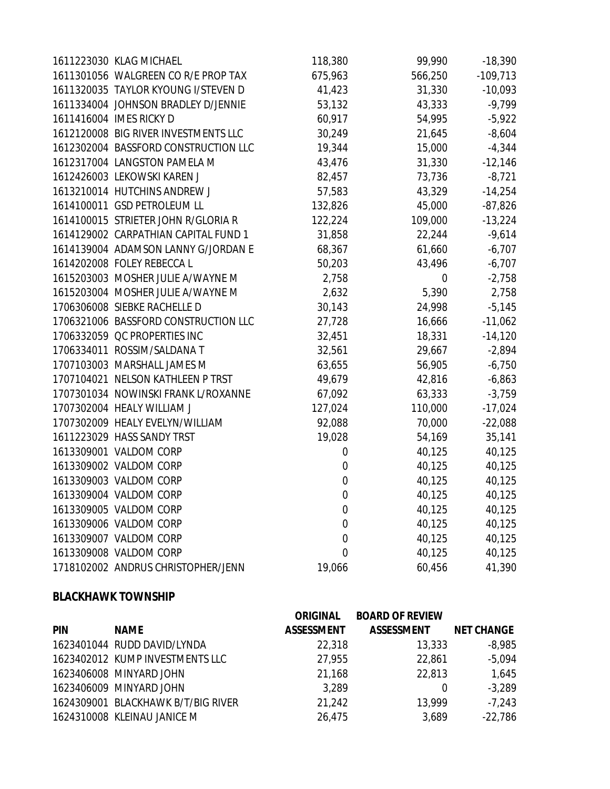| 1611223030 KLAG MICHAEL              | 118,380          | 99,990  | $-18,390$  |
|--------------------------------------|------------------|---------|------------|
| 1611301056 WALGREEN CO R/E PROP TAX  | 675,963          | 566,250 | $-109,713$ |
| 1611320035 TAYLOR KYOUNG I/STEVEN D  | 41,423           | 31,330  | $-10,093$  |
| 1611334004 JOHNSON BRADLEY D/JENNIE  | 53,132           | 43,333  | $-9,799$   |
| 1611416004 IMES RICKY D              | 60,917           | 54,995  | $-5,922$   |
| 1612120008 BIG RIVER INVESTMENTS LLC | 30,249           | 21,645  | $-8,604$   |
| 1612302004 BASSFORD CONSTRUCTION LLC | 19,344           | 15,000  | $-4,344$   |
| 1612317004 LANGSTON PAMELA M         | 43,476           | 31,330  | $-12,146$  |
| 1612426003 LEKOWSKI KAREN J          | 82,457           | 73,736  | $-8,721$   |
| 1613210014 HUTCHINS ANDREW J         | 57,583           | 43,329  | $-14,254$  |
| 1614100011 GSD PETROLEUM LL          | 132,826          | 45,000  | $-87,826$  |
| 1614100015 STRIETER JOHN R/GLORIA R  | 122,224          | 109,000 | $-13,224$  |
| 1614129002 CARPATHIAN CAPITAL FUND 1 | 31,858           | 22,244  | $-9,614$   |
| 1614139004 ADAMSON LANNY G/JORDAN E  | 68,367           | 61,660  | $-6,707$   |
| 1614202008 FOLEY REBECCA L           | 50,203           | 43,496  | $-6,707$   |
| 1615203003 MOSHER JULIE A/WAYNE M    | 2,758            | 0       | $-2,758$   |
| 1615203004 MOSHER JULIE A/WAYNE M    | 2,632            | 5,390   | 2,758      |
| 1706306008 SIEBKE RACHELLE D         | 30,143           | 24,998  | $-5,145$   |
| 1706321006 BASSFORD CONSTRUCTION LLC | 27,728           | 16,666  | $-11,062$  |
| 1706332059 QC PROPERTIES INC         | 32,451           | 18,331  | $-14,120$  |
| 1706334011 ROSSIM/SALDANA T          | 32,561           | 29,667  | $-2,894$   |
| 1707103003 MARSHALL JAMES M          | 63,655           | 56,905  | $-6,750$   |
| 1707104021 NELSON KATHLEEN P TRST    | 49,679           | 42,816  | $-6,863$   |
| 1707301034 NOWINSKI FRANK L/ROXANNE  | 67,092           | 63,333  | $-3,759$   |
| 1707302004 HEALY WILLIAM J           | 127,024          | 110,000 | $-17,024$  |
| 1707302009 HEALY EVELYN/WILLIAM      | 92,088           | 70,000  | $-22,088$  |
| 1611223029 HASS SANDY TRST           | 19,028           | 54,169  | 35,141     |
| 1613309001 VALDOM CORP               | 0                | 40,125  | 40,125     |
| 1613309002 VALDOM CORP               | $\boldsymbol{0}$ | 40,125  | 40,125     |
| 1613309003 VALDOM CORP               | $\boldsymbol{0}$ | 40,125  | 40,125     |
| 1613309004 VALDOM CORP               | $\boldsymbol{0}$ | 40,125  | 40,125     |
| 1613309005 VALDOM CORP               | $\boldsymbol{0}$ | 40,125  | 40,125     |
| 1613309006 VALDOM CORP               | $\boldsymbol{0}$ | 40,125  | 40,125     |
| 1613309007 VALDOM CORP               | $\boldsymbol{0}$ | 40,125  | 40,125     |
| 1613309008 VALDOM CORP               | $\mathbf 0$      | 40,125  | 40,125     |
| 1718102002 ANDRUS CHRISTOPHER/JENN   | 19,066           | 60,456  | 41,390     |

### **BLACKHAWK TOWNSHIP**

|            |                                    | <b>ORIGINAL</b>   | <b>BOARD OF REVIEW</b> |                   |
|------------|------------------------------------|-------------------|------------------------|-------------------|
| <b>PIN</b> | <b>NAME</b>                        | <b>ASSESSMENT</b> | <b>ASSESSMENT</b>      | <b>NET CHANGE</b> |
|            | 1623401044 RUDD DAVID/LYNDA        | 22,318            | 13,333                 | $-8,985$          |
|            | 1623402012 KUMP INVESTMENTS LLC    | 27,955            | 22,861                 | $-5,094$          |
|            | 1623406008 MINYARD JOHN            | 21,168            | 22,813                 | 1,645             |
|            | 1623406009 MINYARD JOHN            | 3,289             | 0                      | $-3,289$          |
|            | 1624309001 BLACKHAWK B/T/BIG RIVER | 21,242            | 13,999                 | $-7,243$          |
|            | 1624310008 KLEINAU JANICE M        | 26,475            | 3,689                  | $-22,786$         |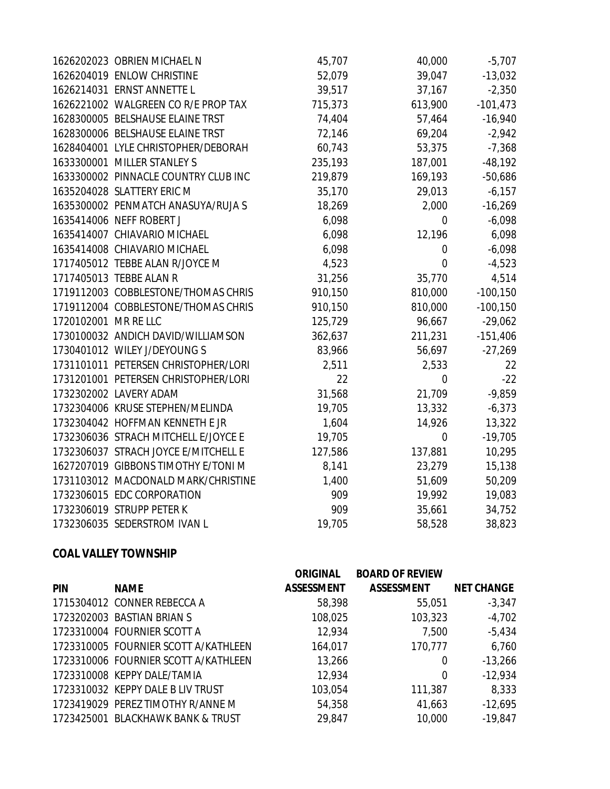|                      | 1626202023 OBRIEN MICHAEL N          | 45,707  | 40,000           | $-5,707$    |
|----------------------|--------------------------------------|---------|------------------|-------------|
|                      | 1626204019 ENLOW CHRISTINE           | 52,079  | 39,047           | $-13,032$   |
|                      | 1626214031 ERNST ANNETTE L           | 39,517  | 37,167           | $-2,350$    |
|                      | 1626221002 WALGREEN CO R/E PROP TAX  | 715,373 | 613,900          | $-101,473$  |
|                      | 1628300005 BELSHAUSE ELAINE TRST     | 74,404  | 57,464           | $-16,940$   |
|                      | 1628300006 BELSHAUSE ELAINE TRST     | 72,146  | 69,204           | $-2,942$    |
|                      | 1628404001 LYLE CHRISTOPHER/DEBORAH  | 60,743  | 53,375           | $-7,368$    |
|                      | 1633300001 MILLER STANLEY S          | 235,193 | 187,001          | $-48,192$   |
|                      | 1633300002 PINNACLE COUNTRY CLUB INC | 219,879 | 169,193          | $-50,686$   |
|                      | 1635204028 SLATTERY ERIC M           | 35,170  | 29,013           | $-6,157$    |
|                      | 1635300002 PENMATCH ANASUYA/RUJA S   | 18,269  | 2,000            | $-16,269$   |
|                      | 1635414006 NEFF ROBERT J             | 6,098   | 0                | $-6,098$    |
|                      | 1635414007 CHIAVARIO MICHAEL         | 6,098   | 12,196           | 6,098       |
|                      | 1635414008 CHIAVARIO MICHAEL         | 6,098   | $\boldsymbol{0}$ | $-6,098$    |
|                      | 1717405012 TEBBE ALAN R/JOYCE M      | 4,523   | $\mathbf 0$      | $-4,523$    |
|                      | 1717405013 TEBBE ALAN R              | 31,256  | 35,770           | 4,514       |
|                      | 1719112003 COBBLESTONE/THOMAS CHRIS  | 910,150 | 810,000          | $-100, 150$ |
|                      | 1719112004 COBBLESTONE/THOMAS CHRIS  | 910,150 | 810,000          | $-100, 150$ |
| 1720102001 MR RE LLC |                                      | 125,729 | 96,667           | $-29,062$   |
|                      | 1730100032 ANDICH DAVID/WILLIAMSON   | 362,637 | 211,231          | $-151,406$  |
|                      | 1730401012 WILEY J/DEYOUNG S         | 83,966  | 56,697           | $-27,269$   |
|                      | 1731101011 PETERSEN CHRISTOPHER/LORI | 2,511   | 2,533            | 22          |
|                      | 1731201001 PETERSEN CHRISTOPHER/LORI | 22      | $\mathbf 0$      | $-22$       |
|                      | 1732302002 LAVERY ADAM               | 31,568  | 21,709           | $-9,859$    |
|                      | 1732304006 KRUSE STEPHEN/MELINDA     | 19,705  | 13,332           | $-6,373$    |
|                      | 1732304042 HOFFMAN KENNETH E JR      | 1,604   | 14,926           | 13,322      |
|                      | 1732306036 STRACH MITCHELL E/JOYCE E | 19,705  | $\mathbf 0$      | $-19,705$   |
|                      | 1732306037 STRACH JOYCE E/MITCHELL E | 127,586 | 137,881          | 10,295      |
|                      | 1627207019 GIBBONS TIMOTHY E/TONI M  | 8,141   | 23,279           | 15,138      |
|                      | 1731103012 MACDONALD MARK/CHRISTINE  | 1,400   | 51,609           | 50,209      |
|                      | 1732306015 EDC CORPORATION           | 909     | 19,992           | 19,083      |
|                      | 1732306019 STRUPP PETER K            | 909     | 35,661           | 34,752      |
|                      | 1732306035 SEDERSTROM IVAN L         | 19,705  | 58,528           | 38,823      |

### **COAL VALLEY TOWNSHIP**

|            |                                      | <b>ORIGINAL</b>   | <b>BOARD OF REVIEW</b> |                   |
|------------|--------------------------------------|-------------------|------------------------|-------------------|
| <b>PIN</b> | <b>NAME</b>                          | <b>ASSESSMENT</b> | <b>ASSESSMENT</b>      | <b>NET CHANGE</b> |
|            | 1715304012 CONNER REBECCA A          | 58,398            | 55,051                 | $-3,347$          |
|            | 1723202003 BASTIAN BRIAN S           | 108,025           | 103,323                | $-4,702$          |
|            | 1723310004 FOURNIER SCOTT A          | 12,934            | 7,500                  | $-5,434$          |
|            | 1723310005 FOURNIER SCOTT A/KATHLEEN | 164,017           | 170,777                | 6,760             |
|            | 1723310006 FOURNIER SCOTT A/KATHLEEN | 13,266            | 0                      | $-13,266$         |
|            | 1723310008 KEPPY DALE/TAMIA          | 12,934            | 0                      | $-12,934$         |
|            | 1723310032 KEPPY DALE B LIV TRUST    | 103,054           | 111,387                | 8,333             |
|            | 1723419029 PEREZ TIMOTHY R/ANNE M    | 54,358            | 41,663                 | $-12,695$         |
|            | 1723425001 BLACKHAWK BANK & TRUST    | 29.847            | 10,000                 | $-19.847$         |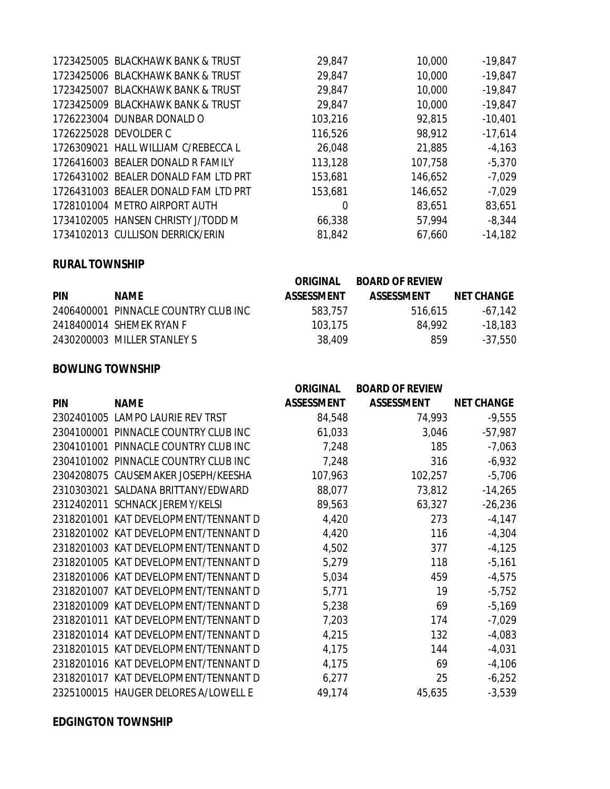| 1723425005 BLACKHAWK BANK & TRUST    | 29,847  | 10,000  | $-19,847$ |
|--------------------------------------|---------|---------|-----------|
| 1723425006 BLACKHAWK BANK & TRUST    | 29,847  | 10,000  | $-19,847$ |
| 1723425007 BLACKHAWK BANK & TRUST    | 29,847  | 10,000  | $-19,847$ |
| 1723425009 BLACKHAWK BANK & TRUST    | 29,847  | 10,000  | $-19,847$ |
| 1726223004 DUNBAR DONALD O           | 103,216 | 92,815  | $-10,401$ |
| 1726225028 DEVOLDER C                | 116,526 | 98,912  | $-17,614$ |
| 1726309021 HALL WILLIAM C/REBECCA L  | 26,048  | 21,885  | $-4,163$  |
| 1726416003 BEALER DONALD R FAMILY    | 113,128 | 107,758 | $-5,370$  |
| 1726431002 BEALER DONALD FAM LTD PRT | 153,681 | 146,652 | $-7,029$  |
| 1726431003 BEALER DONALD FAM LTD PRT | 153,681 | 146,652 | $-7,029$  |
| 1728101004 METRO AIRPORT AUTH        | 0       | 83,651  | 83,651    |
| 1734102005 HANSEN CHRISTY J/TODD M   | 66,338  | 57,994  | $-8,344$  |
| 1734102013 CULLISON DERRICK/ERIN     | 81,842  | 67,660  | $-14,182$ |

#### **RURAL TOWNSHIP**

|            |                                      | <b>ORIGINAL</b>   | <b>BOARD OF REVIEW</b> |                   |
|------------|--------------------------------------|-------------------|------------------------|-------------------|
| <b>PIN</b> | <b>NAME</b>                          | <b>ASSESSMENT</b> | <b>ASSESSMENT</b>      | <b>NET CHANGE</b> |
|            | 2406400001 PINNACLE COUNTRY CLUB INC | 583.757           | 516.615                | $-67.142$         |
|            | 2418400014 SHEMEK RYAN F             | 103.175           | 84.992                 | -18,183           |
|            | 2430200003 MILLER STANLEY S          | 38.409            | 859                    | $-37,550$         |

#### **BOWLING TOWNSHIP**

|            |                                      | <b>ORIGINAL</b>   | <b>BOARD OF REVIEW</b> |                   |
|------------|--------------------------------------|-------------------|------------------------|-------------------|
| <b>PIN</b> | <b>NAME</b>                          | <b>ASSESSMENT</b> | <b>ASSESSMENT</b>      | <b>NET CHANGE</b> |
|            | 2302401005 LAMPO LAURIE REV TRST     | 84,548            | 74,993                 | $-9,555$          |
|            | 2304100001 PINNACLE COUNTRY CLUB INC | 61,033            | 3,046                  | $-57,987$         |
|            | 2304101001 PINNACLE COUNTRY CLUB INC | 7,248             | 185                    | $-7,063$          |
|            | 2304101002 PINNACLE COUNTRY CLUB INC | 7,248             | 316                    | $-6,932$          |
|            | 2304208075 CAUSEMAKER JOSEPH/KEESHA  | 107,963           | 102,257                | $-5,706$          |
|            | 2310303021 SALDANA BRITTANY/EDWARD   | 88,077            | 73,812                 | $-14,265$         |
|            | 2312402011 SCHNACK JEREMY/KELSI      | 89,563            | 63,327                 | $-26,236$         |
|            | 2318201001 KAT DEVELOPMENT/TENNANT D | 4,420             | 273                    | $-4,147$          |
|            | 2318201002 KAT DEVELOPMENT/TENNANT D | 4,420             | 116                    | $-4,304$          |
|            | 2318201003 KAT DEVELOPMENT/TENNANT D | 4,502             | 377                    | $-4,125$          |
|            | 2318201005 KAT DEVELOPMENT/TENNANT D | 5,279             | 118                    | $-5,161$          |
|            | 2318201006 KAT DEVELOPMENT/TENNANT D | 5,034             | 459                    | $-4,575$          |
|            | 2318201007 KAT DEVELOPMENT/TENNANT D | 5,771             | 19                     | $-5,752$          |
|            | 2318201009 KAT DEVELOPMENT/TENNANT D | 5,238             | 69                     | $-5,169$          |
|            | 2318201011 KAT DEVELOPMENT/TENNANT D | 7,203             | 174                    | $-7,029$          |
|            | 2318201014 KAT DEVELOPMENT/TENNANT D | 4,215             | 132                    | $-4,083$          |
|            | 2318201015 KAT DEVELOPMENT/TENNANT D | 4,175             | 144                    | $-4,031$          |
|            | 2318201016 KAT DEVELOPMENT/TENNANT D | 4,175             | 69                     | $-4,106$          |
|            | 2318201017 KAT DEVELOPMENT/TENNANT D | 6,277             | 25                     | $-6,252$          |
|            | 2325100015 HAUGER DELORES A/LOWELL E | 49,174            | 45,635                 | $-3,539$          |

#### **EDGINGTON TOWNSHIP**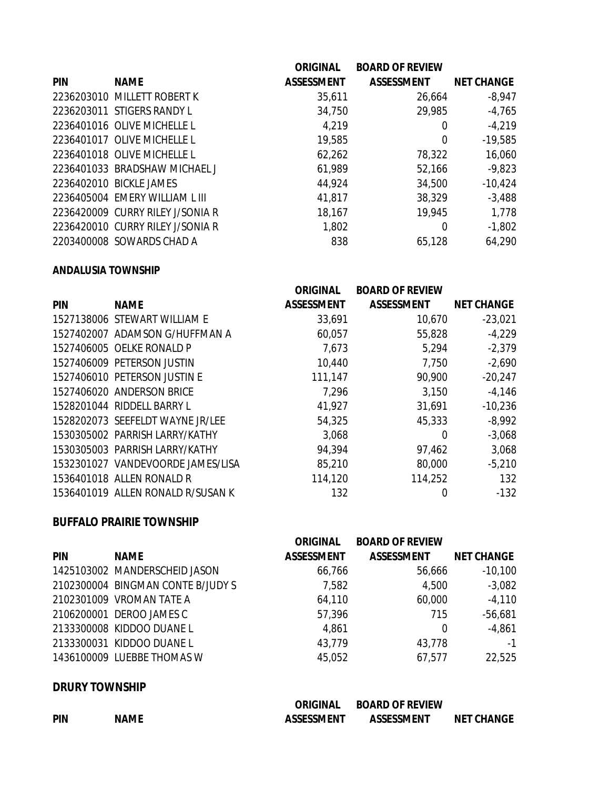|            |                                  | <b>ORIGINAL</b>   | <b>BOARD OF REVIEW</b> |                   |
|------------|----------------------------------|-------------------|------------------------|-------------------|
| <b>PIN</b> | <b>NAME</b>                      | <b>ASSESSMENT</b> | <b>ASSESSMENT</b>      | <b>NET CHANGE</b> |
|            | 2236203010 MILLETT ROBERT K      | 35,611            | 26,664                 | $-8,947$          |
|            | 2236203011 STIGERS RANDY L       | 34,750            | 29,985                 | $-4,765$          |
|            | 2236401016 OLIVE MICHELLE L      | 4,219             | 0                      | $-4,219$          |
|            | 2236401017 OLIVE MICHELLE L      | 19,585            | 0                      | $-19,585$         |
|            | 2236401018 OLIVE MICHELLE L      | 62,262            | 78,322                 | 16,060            |
|            | 2236401033 BRADSHAW MICHAEL J    | 61,989            | 52,166                 | $-9,823$          |
|            | 2236402010 BICKLE JAMES          | 44,924            | 34,500                 | $-10,424$         |
|            | 2236405004 EMERY WILLIAM L III   | 41,817            | 38,329                 | $-3,488$          |
|            | 2236420009 CURRY RILEY J/SONIA R | 18,167            | 19,945                 | 1,778             |
|            | 2236420010 CURRY RILEY J/SONIA R | 1,802             | 0                      | $-1,802$          |
|            | 2203400008 SOWARDS CHAD A        | 838               | 65,128                 | 64,290            |

#### **ANDALUSIA TOWNSHIP**

|            |                                   | <b>ORIGINAL</b>   | <b>BOARD OF REVIEW</b> |                   |
|------------|-----------------------------------|-------------------|------------------------|-------------------|
| <b>PIN</b> | <b>NAME</b>                       | <b>ASSESSMENT</b> | <b>ASSESSMENT</b>      | <b>NET CHANGE</b> |
|            | 1527138006 STEWART WILLIAM E      | 33,691            | 10,670                 | $-23,021$         |
|            | 1527402007 ADAMSON G/HUFFMAN A    | 60,057            | 55,828                 | $-4,229$          |
|            | 1527406005 OELKE RONALD P         | 7,673             | 5,294                  | $-2,379$          |
|            | 1527406009 PETERSON JUSTIN        | 10,440            | 7,750                  | $-2,690$          |
|            | 1527406010 PETERSON JUSTIN E      | 111,147           | 90,900                 | $-20,247$         |
|            | 1527406020 ANDERSON BRICE         | 7,296             | 3,150                  | $-4,146$          |
|            | 1528201044 RIDDELL BARRY L        | 41,927            | 31,691                 | $-10,236$         |
|            | 1528202073 SEEFELDT WAYNE JR/LEE  | 54,325            | 45,333                 | $-8,992$          |
|            | 1530305002 PARRISH LARRY/KATHY    | 3,068             | $\Omega$               | $-3,068$          |
|            | 1530305003 PARRISH LARRY/KATHY    | 94,394            | 97,462                 | 3,068             |
|            | 1532301027 VANDEVOORDE JAMES/LISA | 85,210            | 80,000                 | $-5,210$          |
|            | 1536401018 ALLEN RONALD R         | 114,120           | 114,252                | 132               |
|            | 1536401019 ALLEN RONALD R/SUSAN K | 132               | 0                      | $-132$            |

## **BUFFALO PRAIRIE TOWNSHIP**

|            |                                   | <b>ORIGINAL</b>   | <b>BOARD OF REVIEW</b> |                   |
|------------|-----------------------------------|-------------------|------------------------|-------------------|
| <b>PIN</b> | <b>NAME</b>                       | <b>ASSESSMENT</b> | <b>ASSESSMENT</b>      | <b>NET CHANGE</b> |
|            | 1425103002 MANDERSCHEID JASON     | 66,766            | 56,666                 | $-10,100$         |
|            | 2102300004 BINGMAN CONTE B/JUDY S | 7,582             | 4,500                  | $-3,082$          |
|            | 2102301009 VROMAN TATE A          | 64,110            | 60,000                 | $-4,110$          |
|            | 2106200001 DEROO JAMES C          | 57,396            | 715                    | $-56,681$         |
|            | 2133300008 KIDDOO DUANE L         | 4,861             | 0                      | $-4,861$          |
|            | 2133300031 KIDDOO DUANE L         | 43,779            | 43,778                 | $-1$              |
|            | 1436100009 LUEBBE THOMAS W        | 45,052            | 67,577                 | 22,525            |
|            |                                   |                   |                        |                   |

## **DRURY TOWNSHIP**

|            |             | <b>ORIGINAL</b>   | <b>BOARD OF REVIEW</b> |                   |
|------------|-------------|-------------------|------------------------|-------------------|
| <b>PIN</b> | <b>NAME</b> | <b>ASSESSMENT</b> | <b>ASSESSMENT</b>      | <b>NET CHANGE</b> |